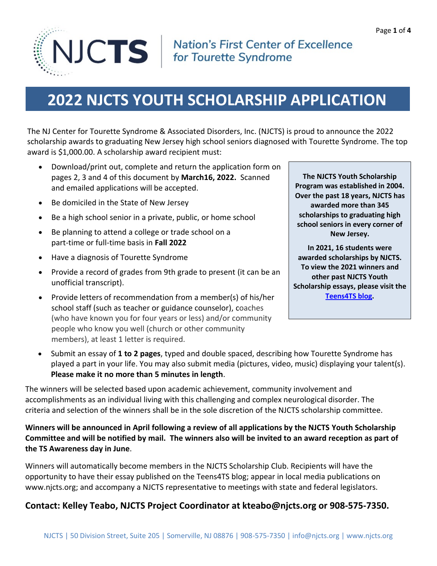

### **Nation's First Center of Excellence** for Tourette Syndrome

# **2022 NJCTS YOUTH SCHOLARSHIP APPLICATION**

The NJ Center for Tourette Syndrome & Associated Disorders, Inc. (NJCTS) is proud to announce the 2022 scholarship awards to graduating New Jersey high school seniors diagnosed with Tourette Syndrome. The top award is \$1,000.00. A scholarship award recipient must:

- Download/print out, complete and return the application form on pages 2, 3 and 4 of this document by **March16, 2022.** Scanned and emailed applications will be accepted.
- Be domiciled in the State of New Jersey
- Be a high school senior in a private, public, or home school
- Be planning to attend a college or trade school on a part-time or full-time basis in **Fall 2022**
- Have a diagnosis of Tourette Syndrome
- Provide a record of grades from 9th grade to present (it can be an unofficial transcript).
- Provide letters of recommendation from a member(s) of his/her school staff (such as teacher or guidance counselor), coaches (who have known you for four years or less) and/or community people who know you well (church or other community members), at least 1 letter is required.

**The NJCTS Youth Scholarship Program was established in 2004. Over the past 18 years, NJCTS has awarded more than 345 scholarships to graduating high school seniors in every corner of New Jersey.**

**In 2021, 16 students were awarded scholarships by NJCTS. To view the 2021 winners and other past NJCTS Youth Scholarship essays, please visit the [Teens4TS blog.](http://www.njcts.org/teens4ts/tag/scholarships/)**

 Submit an essay of **1 to 2 pages**, typed and double spaced, describing how Tourette Syndrome has played a part in your life. You may also submit media (pictures, video, music) displaying your talent(s). **Please make it no more than 5 minutes in length**.

The winners will be selected based upon academic achievement, community involvement and accomplishments as an individual living with this challenging and complex neurological disorder. The criteria and selection of the winners shall be in the sole discretion of the NJCTS scholarship committee.

### **Winners will be announced in April following a review of all applications by the NJCTS Youth Scholarship Committee and will be notified by mail. The winners also will be invited to an award reception as part of the TS Awareness day in June**.

Winners will automatically become members in the NJCTS Scholarship Club. Recipients will have the opportunity to have their essay published on the Teens4TS blog; appear in local media publications on www.njcts.org; and accompany a NJCTS representative to meetings with state and federal legislators.

### **Contact: Kelley Teabo, NJCTS Project Coordinator at kteabo@njcts.org or 908-575-7350.**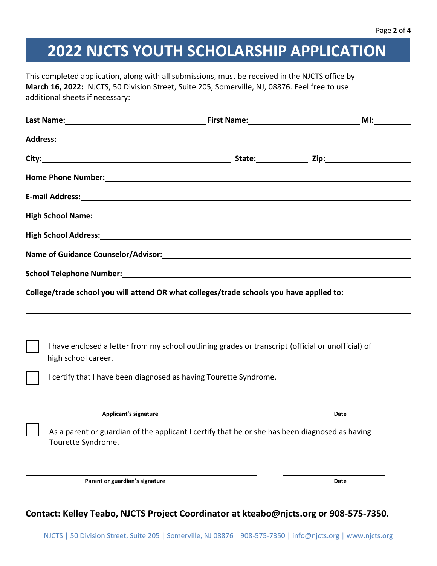# **2022 NJCTS YOUTH SCHOLARSHIP APPLICATION**

This completed application, along with all submissions, must be received in the NJCTS office by **March 16, 2022:** NJCTS, 50 Division Street, Suite 205, Somerville, NJ, 08876. Feel free to use additional sheets if necessary:

|                                                                                                                                                                                                                                | Last Name: MI: Manner Manner Manner Miller Manner Miller Miller Miller Miller Miller Miller Miller Miller Miller          |  |      |  |  |
|--------------------------------------------------------------------------------------------------------------------------------------------------------------------------------------------------------------------------------|---------------------------------------------------------------------------------------------------------------------------|--|------|--|--|
|                                                                                                                                                                                                                                |                                                                                                                           |  |      |  |  |
|                                                                                                                                                                                                                                |                                                                                                                           |  |      |  |  |
|                                                                                                                                                                                                                                |                                                                                                                           |  |      |  |  |
|                                                                                                                                                                                                                                |                                                                                                                           |  |      |  |  |
| High School Name: Name and School Name and School Name and School Name and School Name and School Name and School Name and School Name and School Name and School Name and School Name and School Name and School Name and Sch |                                                                                                                           |  |      |  |  |
|                                                                                                                                                                                                                                |                                                                                                                           |  |      |  |  |
|                                                                                                                                                                                                                                | Name of Guidance Counselor/Advisor: Manual Community of Guidance Counsel and Advisor Counsel and Advisor Couns            |  |      |  |  |
|                                                                                                                                                                                                                                |                                                                                                                           |  |      |  |  |
| College/trade school you will attend OR what colleges/trade schools you have applied to:                                                                                                                                       |                                                                                                                           |  |      |  |  |
|                                                                                                                                                                                                                                |                                                                                                                           |  |      |  |  |
|                                                                                                                                                                                                                                |                                                                                                                           |  |      |  |  |
|                                                                                                                                                                                                                                | I have enclosed a letter from my school outlining grades or transcript (official or unofficial) of<br>high school career. |  |      |  |  |
|                                                                                                                                                                                                                                | I certify that I have been diagnosed as having Tourette Syndrome.                                                         |  |      |  |  |
|                                                                                                                                                                                                                                |                                                                                                                           |  |      |  |  |
|                                                                                                                                                                                                                                | <b>Applicant's signature</b>                                                                                              |  | Date |  |  |
|                                                                                                                                                                                                                                | As a parent or guardian of the applicant I certify that he or she has been diagnosed as having<br>Tourette Syndrome.      |  |      |  |  |
|                                                                                                                                                                                                                                | Parent or guardian's signature                                                                                            |  | Date |  |  |
|                                                                                                                                                                                                                                |                                                                                                                           |  |      |  |  |

### **Contact: Kelley Teabo, NJCTS Project Coordinator at kteabo@njcts.org or 908-575-7350.**

NJCTS | 50 Division Street, Suite 205 | Somerville, NJ 08876 | 908-575-7350 | info@njcts.org | www.njcts.org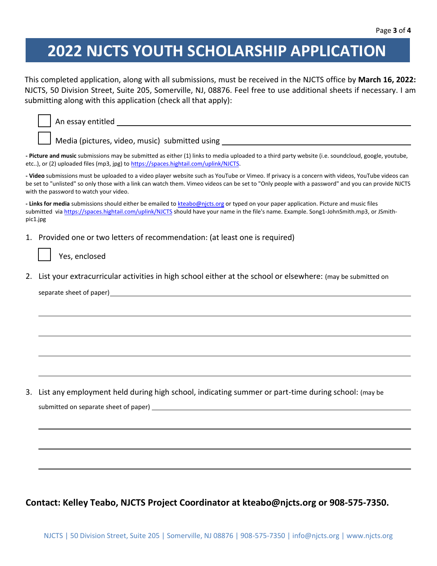## **2022 NJCTS YOUTH SCHOLARSHIP APPLICATION**

This completed application, along with all submissions, must be received in the NJCTS office by **March 16, 2022:** NJCTS, 50 Division Street, Suite 205, Somerville, NJ, 08876. Feel free to use additional sheets if necessary. I am submitting along with this application (check all that apply):

|                                                                                                                                                    | Media (pictures, video, music) submitted using _________________________________                                                                                                                                                                                                                      |
|----------------------------------------------------------------------------------------------------------------------------------------------------|-------------------------------------------------------------------------------------------------------------------------------------------------------------------------------------------------------------------------------------------------------------------------------------------------------|
| etc), or (2) uploaded files (mp3, jpg) to https://spaces.hightail.com/uplink/NJCTS.                                                                | - Picture and music submissions may be submitted as either (1) links to media uploaded to a third party website (i.e. soundcloud, google, youtube,                                                                                                                                                    |
| with the password to watch your video.                                                                                                             | - Video submissions must be uploaded to a video player website such as YouTube or Vimeo. If privacy is a concern with videos, YouTube videos can<br>be set to "unlisted" so only those with a link can watch them. Vimeo videos can be set to "Only people with a password" and you can provide NJCTS |
| - Links for media submissions should either be emailed to kteabo@njcts.org or typed on your paper application. Picture and music files<br>pic1.jpg | submitted via https://spaces.hightail.com/uplink/NJCTS should have your name in the file's name. Example. Song1-JohnSmith.mp3, or JSmith-                                                                                                                                                             |
| 1. Provided one or two letters of recommendation: (at least one is required)<br>Yes, enclosed                                                      |                                                                                                                                                                                                                                                                                                       |
| 2.<br>separate sheet of paper)<br>Separate sheet of paper)<br>Separate sheet of paper)                                                             | List your extracurricular activities in high school either at the school or elsewhere: (may be submitted on                                                                                                                                                                                           |
|                                                                                                                                                    |                                                                                                                                                                                                                                                                                                       |
|                                                                                                                                                    |                                                                                                                                                                                                                                                                                                       |
| 3.                                                                                                                                                 | List any employment held during high school, indicating summer or part-time during school: (may be                                                                                                                                                                                                    |
|                                                                                                                                                    |                                                                                                                                                                                                                                                                                                       |
|                                                                                                                                                    |                                                                                                                                                                                                                                                                                                       |
|                                                                                                                                                    |                                                                                                                                                                                                                                                                                                       |

**Contact: Kelley Teabo, NJCTS Project Coordinator at kteabo@njcts.org or 908-575-7350.**